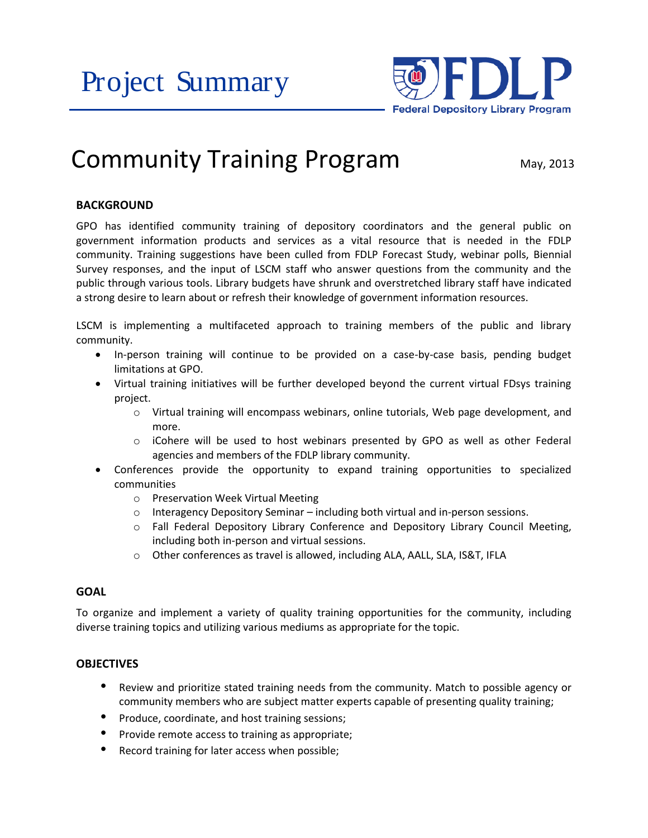Project Summary



# Community Training Program  $_{\text{May, 2013}}$

# **BACKGROUND**

GPO has identified community training of depository coordinators and the general public on government information products and services as a vital resource that is needed in the FDLP community. Training suggestions have been culled from FDLP Forecast Study, webinar polls, Biennial Survey responses, and the input of LSCM staff who answer questions from the community and the public through various tools. Library budgets have shrunk and overstretched library staff have indicated a strong desire to learn about or refresh their knowledge of government information resources.

LSCM is implementing a multifaceted approach to training members of the public and library community.

- In-person training will continue to be provided on a case-by-case basis, pending budget limitations at GPO.
- Virtual training initiatives will be further developed beyond the current virtual FDsys training project.
	- o Virtual training will encompass webinars, online tutorials, Web page development, and more.
	- $\circ$  iCohere will be used to host webinars presented by GPO as well as other Federal agencies and members of the FDLP library community.
- Conferences provide the opportunity to expand training opportunities to specialized communities
	- o Preservation Week Virtual Meeting
	- o Interagency Depository Seminar including both virtual and in-person sessions.
	- o Fall Federal Depository Library Conference and Depository Library Council Meeting, including both in-person and virtual sessions.
	- o Other conferences as travel is allowed, including ALA, AALL, SLA, IS&T, IFLA

#### **GOAL**

To organize and implement a variety of quality training opportunities for the community, including diverse training topics and utilizing various mediums as appropriate for the topic.

## **OBJECTIVES**

- Review and prioritize stated training needs from the community. Match to possible agency or community members who are subject matter experts capable of presenting quality training;
- Produce, coordinate, and host training sessions;
- Provide remote access to training as appropriate;
- Record training for later access when possible;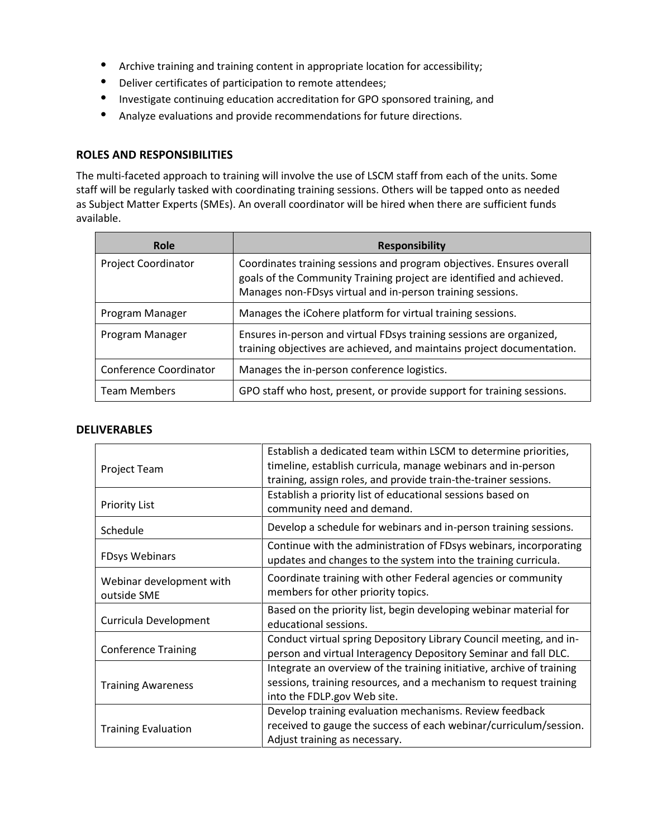- Archive training and training content in appropriate location for accessibility;
- Deliver certificates of participation to remote attendees;
- Investigate continuing education accreditation for GPO sponsored training, and
- Analyze evaluations and provide recommendations for future directions.

#### **ROLES AND RESPONSIBILITIES**

The multi-faceted approach to training will involve the use of LSCM staff from each of the units. Some staff will be regularly tasked with coordinating training sessions. Others will be tapped onto as needed as Subject Matter Experts (SMEs). An overall coordinator will be hired when there are sufficient funds available.

| Role                       | <b>Responsibility</b>                                                                                                                                                                                       |
|----------------------------|-------------------------------------------------------------------------------------------------------------------------------------------------------------------------------------------------------------|
| <b>Project Coordinator</b> | Coordinates training sessions and program objectives. Ensures overall<br>goals of the Community Training project are identified and achieved.<br>Manages non-FDsys virtual and in-person training sessions. |
| Program Manager            | Manages the iCohere platform for virtual training sessions.                                                                                                                                                 |
| Program Manager            | Ensures in-person and virtual FDsys training sessions are organized,<br>training objectives are achieved, and maintains project documentation.                                                              |
| Conference Coordinator     | Manages the in-person conference logistics.                                                                                                                                                                 |
| <b>Team Members</b>        | GPO staff who host, present, or provide support for training sessions.                                                                                                                                      |

#### **DELIVERABLES**

| Project Team                            | Establish a dedicated team within LSCM to determine priorities,<br>timeline, establish curricula, manage webinars and in-person<br>training, assign roles, and provide train-the-trainer sessions. |
|-----------------------------------------|----------------------------------------------------------------------------------------------------------------------------------------------------------------------------------------------------|
| <b>Priority List</b>                    | Establish a priority list of educational sessions based on<br>community need and demand.                                                                                                           |
| Schedule                                | Develop a schedule for webinars and in-person training sessions.                                                                                                                                   |
| <b>FDsys Webinars</b>                   | Continue with the administration of FDsys webinars, incorporating<br>updates and changes to the system into the training curricula.                                                                |
| Webinar development with<br>outside SME | Coordinate training with other Federal agencies or community<br>members for other priority topics.                                                                                                 |
| Curricula Development                   | Based on the priority list, begin developing webinar material for<br>educational sessions.                                                                                                         |
| <b>Conference Training</b>              | Conduct virtual spring Depository Library Council meeting, and in-<br>person and virtual Interagency Depository Seminar and fall DLC.                                                              |
| <b>Training Awareness</b>               | Integrate an overview of the training initiative, archive of training<br>sessions, training resources, and a mechanism to request training<br>into the FDLP.gov Web site.                          |
| <b>Training Evaluation</b>              | Develop training evaluation mechanisms. Review feedback<br>received to gauge the success of each webinar/curriculum/session.<br>Adjust training as necessary.                                      |